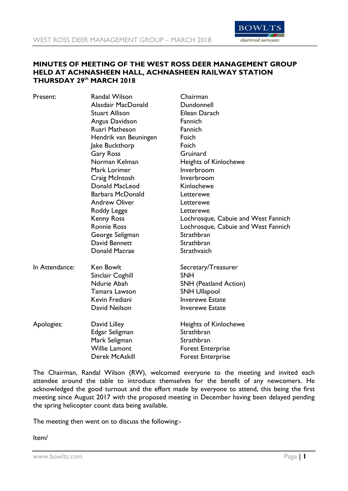

## **MINUTES OF MEETING OF THE WEST ROSS DEER MANAGEMENT GROUP HELD AT ACHNASHEEN HALL, ACHNASHEEN RAILWAY STATION THURSDAY 29th MARCH 2018**

| Present:       | <b>Randal Wilson</b>  | Chairman                            |
|----------------|-----------------------|-------------------------------------|
|                | Alasdair MacDonald    | Dundonnell                          |
|                | <b>Stuart Allison</b> | Eilean Darach                       |
|                | Angus Davidson        | Fannich                             |
|                | Ruari Matheson        | Fannich                             |
|                | Hendrik van Beuningen | Foich                               |
|                | Jake Buckthorp        | Foich                               |
|                | <b>Gary Ross</b>      | Gruinard                            |
|                | Norman Kelman         | <b>Heights of Kinlochewe</b>        |
|                | Mark Lorimer          | Inverbroom                          |
|                | Craig McIntosh        | Inverbroom                          |
|                | Donald MacLeod        | Kinlochewe                          |
|                | Barbara McDonald      | Letterewe                           |
|                | <b>Andrew Oliver</b>  | Letterewe                           |
|                | Roddy Legge           | Letterewe                           |
|                | <b>Kenny Ross</b>     | Lochrosque, Cabuie and West Fannich |
|                | <b>Ronnie Ross</b>    | Lochrosque, Cabuie and West Fannich |
|                | George Seligman       | Strathbran                          |
|                | David Bennett         | Strathbran                          |
|                | Donald Macrae         | Strathvaich                         |
| In Attendance: | Ken Bowlt             | Secretary/Treasurer                 |
|                | Sinclair Coghill      | <b>SNH</b>                          |
|                | Ndurie Abah           | <b>SNH</b> (Peatland Action)        |
|                | Tamara Lawson         | <b>SNH Ullapool</b>                 |
|                | Kevin Frediani        | <b>Inverewe Estate</b>              |
|                | David Neilson         | <b>Inverewe Estate</b>              |
| Apologies:     | David Lilley          | <b>Heights of Kinlochewe</b>        |
|                | Edgar Seligman        | Strathbran                          |
|                | Mark Seligman         | Strathbran                          |
|                | <b>Willie Lamont</b>  | <b>Forest Enterprise</b>            |
|                | Derek McAskill        | <b>Forest Enterprise</b>            |

The Chairman, Randal Wilson (RW), welcomed everyone to the meeting and invited each attendee around the table to introduce themselves for the benefit of any newcomers. He acknowledged the good turnout and the effort made by everyone to attend, this being the first meeting since August 2017 with the proposed meeting in December having been delayed pending the spring helicopter count data being available.

The meeting then went on to discuss the following:-

Item/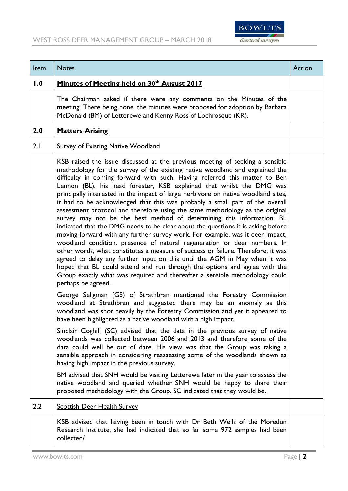

| Item | <b>Notes</b>                                                                                                                                                                                                                                                                                                                                                                                                                                                                                                                                                                                                                                                                                                                                                                                                                                                                                                                                                                                                                                                                                                                                                                                                                                                                                                                                                                                                                                                                                                                                            | Action |
|------|---------------------------------------------------------------------------------------------------------------------------------------------------------------------------------------------------------------------------------------------------------------------------------------------------------------------------------------------------------------------------------------------------------------------------------------------------------------------------------------------------------------------------------------------------------------------------------------------------------------------------------------------------------------------------------------------------------------------------------------------------------------------------------------------------------------------------------------------------------------------------------------------------------------------------------------------------------------------------------------------------------------------------------------------------------------------------------------------------------------------------------------------------------------------------------------------------------------------------------------------------------------------------------------------------------------------------------------------------------------------------------------------------------------------------------------------------------------------------------------------------------------------------------------------------------|--------|
| 1.0  | Minutes of Meeting held on 30th August 2017                                                                                                                                                                                                                                                                                                                                                                                                                                                                                                                                                                                                                                                                                                                                                                                                                                                                                                                                                                                                                                                                                                                                                                                                                                                                                                                                                                                                                                                                                                             |        |
|      | The Chairman asked if there were any comments on the Minutes of the<br>meeting. There being none, the minutes were proposed for adoption by Barbara<br>McDonald (BM) of Letterewe and Kenny Ross of Lochrosque (KR).                                                                                                                                                                                                                                                                                                                                                                                                                                                                                                                                                                                                                                                                                                                                                                                                                                                                                                                                                                                                                                                                                                                                                                                                                                                                                                                                    |        |
| 2.0  | <b>Matters Arising</b>                                                                                                                                                                                                                                                                                                                                                                                                                                                                                                                                                                                                                                                                                                                                                                                                                                                                                                                                                                                                                                                                                                                                                                                                                                                                                                                                                                                                                                                                                                                                  |        |
| 2.1  | <b>Survey of Existing Native Woodland</b>                                                                                                                                                                                                                                                                                                                                                                                                                                                                                                                                                                                                                                                                                                                                                                                                                                                                                                                                                                                                                                                                                                                                                                                                                                                                                                                                                                                                                                                                                                               |        |
|      | KSB raised the issue discussed at the previous meeting of seeking a sensible<br>methodology for the survey of the existing native woodland and explained the<br>difficulty in coming forward with such. Having referred this matter to Ben<br>Lennon (BL), his head forester, KSB explained that whilst the DMG was<br>principally interested in the impact of large herbivore on native woodland sites,<br>it had to be acknowledged that this was probably a small part of the overall<br>assessment protocol and therefore using the same methodology as the original<br>survey may not be the best method of determining this information. BL<br>indicated that the DMG needs to be clear about the questions it is asking before<br>moving forward with any further survey work. For example, was it deer impact,<br>woodland condition, presence of natural regeneration or deer numbers. In<br>other words, what constitutes a measure of success or failure. Therefore, it was<br>agreed to delay any further input on this until the AGM in May when it was<br>hoped that BL could attend and run through the options and agree with the<br>Group exactly what was required and thereafter a sensible methodology could<br>perhaps be agreed.<br>George Seligman (GS) of Strathbran mentioned the Forestry Commission<br>woodland at Strathbran and suggested there may be an anomaly as this<br>woodland was shot heavily by the Forestry Commission and yet it appeared to<br>have been highlighted as a native woodland with a high impact. |        |
|      | Sinclair Coghill (SC) advised that the data in the previous survey of native<br>woodlands was collected between 2006 and 2013 and therefore some of the<br>data could well be out of date. His view was that the Group was taking a<br>sensible approach in considering reassessing some of the woodlands shown as<br>having high impact in the previous survey.                                                                                                                                                                                                                                                                                                                                                                                                                                                                                                                                                                                                                                                                                                                                                                                                                                                                                                                                                                                                                                                                                                                                                                                        |        |
|      | BM advised that SNH would be visiting Letterewe later in the year to assess the<br>native woodland and queried whether SNH would be happy to share their<br>proposed methodology with the Group. SC indicated that they would be.                                                                                                                                                                                                                                                                                                                                                                                                                                                                                                                                                                                                                                                                                                                                                                                                                                                                                                                                                                                                                                                                                                                                                                                                                                                                                                                       |        |
| 2.2  | <b>Scottish Deer Health Survey</b>                                                                                                                                                                                                                                                                                                                                                                                                                                                                                                                                                                                                                                                                                                                                                                                                                                                                                                                                                                                                                                                                                                                                                                                                                                                                                                                                                                                                                                                                                                                      |        |
|      | KSB advised that having been in touch with Dr Beth Wells of the Moredun<br>Research Institute, she had indicated that so far some 972 samples had been<br>collected/                                                                                                                                                                                                                                                                                                                                                                                                                                                                                                                                                                                                                                                                                                                                                                                                                                                                                                                                                                                                                                                                                                                                                                                                                                                                                                                                                                                    |        |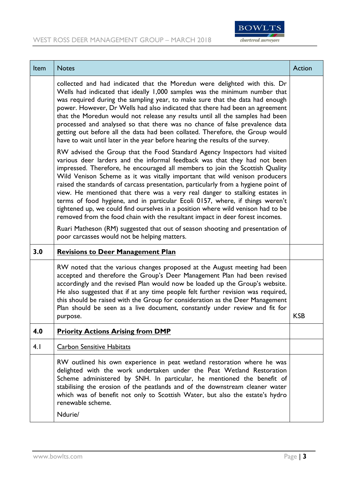

| Item | <b>Notes</b>                                                                                                                                                                                                                                                                                                                                                                                                                                                                                                                                                                                                                                                                                                                                     | Action     |
|------|--------------------------------------------------------------------------------------------------------------------------------------------------------------------------------------------------------------------------------------------------------------------------------------------------------------------------------------------------------------------------------------------------------------------------------------------------------------------------------------------------------------------------------------------------------------------------------------------------------------------------------------------------------------------------------------------------------------------------------------------------|------------|
|      | collected and had indicated that the Moredun were delighted with this. Dr<br>Wells had indicated that ideally 1,000 samples was the minimum number that<br>was required during the sampling year, to make sure that the data had enough<br>power. However, Dr Wells had also indicated that there had been an agreement<br>that the Moredun would not release any results until all the samples had been<br>processed and analysed so that there was no chance of false prevalence data<br>getting out before all the data had been collated. Therefore, the Group would<br>have to wait until later in the year before hearing the results of the survey.                                                                                       |            |
|      | RW advised the Group that the Food Standard Agency Inspectors had visited<br>various deer larders and the informal feedback was that they had not been<br>impressed. Therefore, he encouraged all members to join the Scottish Quality<br>Wild Venison Scheme as it was vitally important that wild venison producers<br>raised the standards of carcass presentation, particularly from a hygiene point of<br>view. He mentioned that there was a very real danger to stalking estates in<br>terms of food hygiene, and in particular Ecoli 0157, where, if things weren't<br>tightened up, we could find ourselves in a position where wild venison had to be<br>removed from the food chain with the resultant impact in deer forest incomes. |            |
|      | Ruari Matheson (RM) suggested that out of season shooting and presentation of<br>poor carcasses would not be helping matters.                                                                                                                                                                                                                                                                                                                                                                                                                                                                                                                                                                                                                    |            |
| 3.0  | <b>Revisions to Deer Management Plan</b>                                                                                                                                                                                                                                                                                                                                                                                                                                                                                                                                                                                                                                                                                                         |            |
|      | RW noted that the various changes proposed at the August meeting had been<br>accepted and therefore the Group's Deer Management Plan had been revised<br>accordingly and the revised Plan would now be loaded up the Group's website.<br>He also suggested that if at any time people felt further revision was required,<br>this should be raised with the Group for consideration as the Deer Management<br>Plan should be seen as a live document, constantly under review and fit for<br>purpose.                                                                                                                                                                                                                                            | <b>KSB</b> |
| 4.0  | <b>Priority Actions Arising from DMP</b>                                                                                                                                                                                                                                                                                                                                                                                                                                                                                                                                                                                                                                                                                                         |            |
| 4.1  | <b>Carbon Sensitive Habitats</b>                                                                                                                                                                                                                                                                                                                                                                                                                                                                                                                                                                                                                                                                                                                 |            |
|      | RW outlined his own experience in peat wetland restoration where he was<br>delighted with the work undertaken under the Peat Wetland Restoration<br>Scheme administered by SNH. In particular, he mentioned the benefit of<br>stabilising the erosion of the peatlands and of the downstream cleaner water<br>which was of benefit not only to Scottish Water, but also the estate's hydro<br>renewable scheme.<br>Ndurie/                                                                                                                                                                                                                                                                                                                       |            |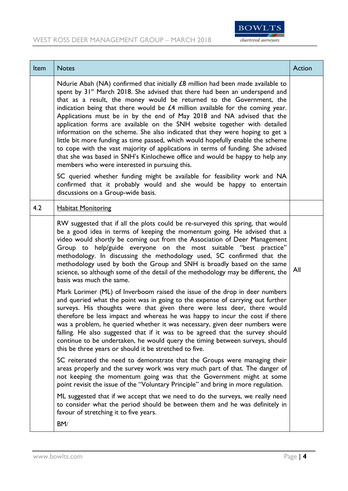

| Item | <b>Notes</b>                                                                                                                                                                                                                                                                                                                                                                                                                                                                                                                                                                                                                                                                                                                                                                                                                                                                                                                                                                                                                                                                  | Action |
|------|-------------------------------------------------------------------------------------------------------------------------------------------------------------------------------------------------------------------------------------------------------------------------------------------------------------------------------------------------------------------------------------------------------------------------------------------------------------------------------------------------------------------------------------------------------------------------------------------------------------------------------------------------------------------------------------------------------------------------------------------------------------------------------------------------------------------------------------------------------------------------------------------------------------------------------------------------------------------------------------------------------------------------------------------------------------------------------|--------|
|      | Ndurie Abah (NA) confirmed that initially £8 million had been made available to<br>spent by 31 <sup>st</sup> March 2018. She advised that there had been an underspend and<br>that as a result, the money would be returned to the Government, the<br>indication being that there would be £4 million available for the coming year.<br>Applications must be in by the end of May 2018 and NA advised that the<br>application forms are available on the SNH website together with detailed<br>information on the scheme. She also indicated that they were hoping to get a<br>little bit more funding as time passed, which would hopefully enable the scheme<br>to cope with the vast majority of applications in terms of funding. She advised<br>that she was based in SNH's Kinlochewe office and would be happy to help any<br>members who were interested in pursuing this.<br>SC queried whether funding might be available for feasibility work and NA<br>confirmed that it probably would and she would be happy to entertain<br>discussions on a Group-wide basis. |        |
| 4.2  | <b>Habitat Monitoring</b>                                                                                                                                                                                                                                                                                                                                                                                                                                                                                                                                                                                                                                                                                                                                                                                                                                                                                                                                                                                                                                                     |        |
|      | RW suggested that if all the plots could be re-surveyed this spring, that would<br>be a good idea in terms of keeping the momentum going. He advised that a<br>video would shortly be coming out from the Association of Deer Management<br>Group to help/guide everyone on the most suitable "best practice"<br>methodology. In discussing the methodology used, SC confirmed that the<br>methodology used by both the Group and SNH is broadly based on the same<br>science, so although some of the detail of the methodology may be different, the<br>basis was much the same.                                                                                                                                                                                                                                                                                                                                                                                                                                                                                            | All    |
|      | Mark Lorimer (ML) of Inverboom raised the issue of the drop in deer numbers<br>and queried what the point was in going to the expense of carrying out further<br>surveys. His thoughts were that given there were less deer, there would<br>therefore be less impact and whereas he was happy to incur the cost if there<br>was a problem, he queried whether it was necessary, given deer numbers were<br>falling. He also suggested that if it was to be agreed that the survey should<br>continue to be undertaken, he would query the timing between surveys, should<br>this be three years or should it be stretched to five.                                                                                                                                                                                                                                                                                                                                                                                                                                            |        |
|      | SC reiterated the need to demonstrate that the Groups were managing their<br>areas properly and the survey work was very much part of that. The danger of<br>not keeping the momentum going was that the Government might at some<br>point revisit the issue of the "Voluntary Principle" and bring in more regulation.                                                                                                                                                                                                                                                                                                                                                                                                                                                                                                                                                                                                                                                                                                                                                       |        |
|      | ML suggested that if we accept that we need to do the surveys, we really need<br>to consider what the period should be between them and he was definitely in<br>favour of stretching it to five years.                                                                                                                                                                                                                                                                                                                                                                                                                                                                                                                                                                                                                                                                                                                                                                                                                                                                        |        |
|      | BM/                                                                                                                                                                                                                                                                                                                                                                                                                                                                                                                                                                                                                                                                                                                                                                                                                                                                                                                                                                                                                                                                           |        |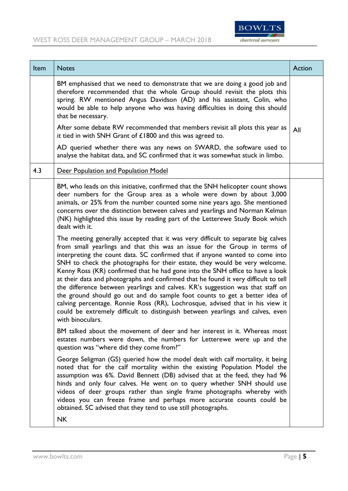

| Item | <b>Notes</b>                                                                                                                                                                                                                                                                                                                                                                                                                                                                                                                                                                                                                                                                                                                                                                                                                                                                                                                                                                                                                                                                                                                                                                                                                                                      | Action |
|------|-------------------------------------------------------------------------------------------------------------------------------------------------------------------------------------------------------------------------------------------------------------------------------------------------------------------------------------------------------------------------------------------------------------------------------------------------------------------------------------------------------------------------------------------------------------------------------------------------------------------------------------------------------------------------------------------------------------------------------------------------------------------------------------------------------------------------------------------------------------------------------------------------------------------------------------------------------------------------------------------------------------------------------------------------------------------------------------------------------------------------------------------------------------------------------------------------------------------------------------------------------------------|--------|
|      | BM emphasised that we need to demonstrate that we are doing a good job and<br>therefore recommended that the whole Group should revisit the plots this<br>spring. RW mentioned Angus Davidson (AD) and his assistant, Colin, who<br>would be able to help anyone who was having difficulties in doing this should<br>that be necessary.                                                                                                                                                                                                                                                                                                                                                                                                                                                                                                                                                                                                                                                                                                                                                                                                                                                                                                                           |        |
|      | After some debate RW recommended that members revisit all plots this year as<br>it tied in with SNH Grant of $£1800$ and this was agreed to.                                                                                                                                                                                                                                                                                                                                                                                                                                                                                                                                                                                                                                                                                                                                                                                                                                                                                                                                                                                                                                                                                                                      | All    |
|      | AD queried whether there was any news on SWARD, the software used to<br>analyse the habitat data, and SC confirmed that it was somewhat stuck in limbo.                                                                                                                                                                                                                                                                                                                                                                                                                                                                                                                                                                                                                                                                                                                                                                                                                                                                                                                                                                                                                                                                                                           |        |
| 4.3  | Deer Population and Population Model                                                                                                                                                                                                                                                                                                                                                                                                                                                                                                                                                                                                                                                                                                                                                                                                                                                                                                                                                                                                                                                                                                                                                                                                                              |        |
|      | BM, who leads on this initiative, confirmed that the SNH helicopter count shows<br>deer numbers for the Group area as a whole were down by about 3,000<br>animals, or 25% from the number counted some nine years ago. She mentioned<br>concerns over the distinction between calves and yearlings and Norman Kelman<br>(NK) highlighted this issue by reading part of the Letterewe Study Book which<br>dealt with it.<br>The meeting generally accepted that it was very difficult to separate big calves<br>from small yearlings and that this was an issue for the Group in terms of<br>interpreting the count data. SC confirmed that if anyone wanted to come into<br>SNH to check the photographs for their estate, they would be very welcome.<br>Kenny Ross (KR) confirmed that he had gone into the SNH office to have a look<br>at their data and photographs and confirmed that he found it very difficult to tell<br>the difference between yearlings and calves. KR's suggestion was that staff on<br>the ground should go out and do sample foot counts to get a better idea of<br>calving percentage. Ronnie Ross (RR), Lochrosque, advised that in his view it<br>could be extremely difficult to distinguish between yearlings and calves, even |        |
|      | with binoculars.<br>BM talked about the movement of deer and her interest in it. Whereas most<br>estates numbers were down, the numbers for Letterewe were up and the<br>question was "where did they come from?"                                                                                                                                                                                                                                                                                                                                                                                                                                                                                                                                                                                                                                                                                                                                                                                                                                                                                                                                                                                                                                                 |        |
|      | George Seligman (GS) queried how the model dealt with calf mortality, it being<br>noted that for the calf mortality within the existing Population Model the<br>assumption was 6%. David Bennett (DB) advised that at the feed, they had 96<br>hinds and only four calves. He went on to query whether SNH should use<br>videos of deer groups rather than single frame photographs whereby with<br>videos you can freeze frame and perhaps more accurate counts could be<br>obtained. SC advised that they tend to use still photographs.<br><b>NK</b>                                                                                                                                                                                                                                                                                                                                                                                                                                                                                                                                                                                                                                                                                                           |        |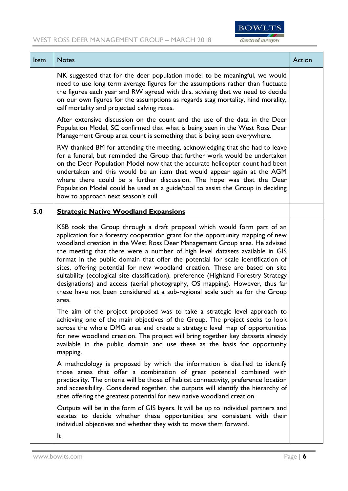## WEST ROSS DEER MANAGEMENT GROUP – MARCH 2018



| Item | <b>Notes</b>                                                                                                                                                                                                                                                                                                                                                                                                                                                                                                                                                                                                                                                                                                                                                                                                                              | Action |
|------|-------------------------------------------------------------------------------------------------------------------------------------------------------------------------------------------------------------------------------------------------------------------------------------------------------------------------------------------------------------------------------------------------------------------------------------------------------------------------------------------------------------------------------------------------------------------------------------------------------------------------------------------------------------------------------------------------------------------------------------------------------------------------------------------------------------------------------------------|--------|
|      | NK suggested that for the deer population model to be meaningful, we would<br>need to use long term average figures for the assumptions rather than fluctuate<br>the figures each year and RW agreed with this, advising that we need to decide<br>on our own figures for the assumptions as regards stag mortality, hind morality,<br>calf mortality and projected calving rates.                                                                                                                                                                                                                                                                                                                                                                                                                                                        |        |
|      | After extensive discussion on the count and the use of the data in the Deer<br>Population Model, SC confirmed that what is being seen in the West Ross Deer<br>Management Group area count is something that is being seen everywhere.                                                                                                                                                                                                                                                                                                                                                                                                                                                                                                                                                                                                    |        |
|      | RW thanked BM for attending the meeting, acknowledging that she had to leave<br>for a funeral, but reminded the Group that further work would be undertaken<br>on the Deer Population Model now that the accurate helicopter count had been<br>undertaken and this would be an item that would appear again at the AGM<br>where there could be a further discussion. The hope was that the Deer<br>Population Model could be used as a guide/tool to assist the Group in deciding<br>how to approach next season's cull.                                                                                                                                                                                                                                                                                                                  |        |
| 5.0  | <b>Strategic Native Woodland Expansions</b>                                                                                                                                                                                                                                                                                                                                                                                                                                                                                                                                                                                                                                                                                                                                                                                               |        |
|      | KSB took the Group through a draft proposal which would form part of an<br>application for a forestry cooperation grant for the opportunity mapping of new<br>woodland creation in the West Ross Deer Management Group area. He advised<br>the meeting that there were a number of high level datasets available in GIS<br>format in the public domain that offer the potential for scale identification of<br>sites, offering potential for new woodland creation. These are based on site<br>suitability (ecological site classification), preference (Highland Forestry Strategy<br>designations) and access (aerial photography, OS mapping). However, thus far<br>these have not been considered at a sub-regional scale such as for the Group<br>area.<br>The aim of the project proposed was to take a strategic level approach to |        |
|      | achieving one of the main objectives of the Group. The project seeks to look<br>across the whole DMG area and create a strategic level map of opportunities<br>for new woodland creation. The project will bring together key datasets already<br>available in the public domain and use these as the basis for opportunity<br>mapping.                                                                                                                                                                                                                                                                                                                                                                                                                                                                                                   |        |
|      | A methodology is proposed by which the information is distilled to identify<br>those areas that offer a combination of great potential combined with<br>practicality. The criteria will be those of habitat connectivity, preference location<br>and accessibility. Considered together, the outputs will identify the hierarchy of<br>sites offering the greatest potential for new native woodland creation.                                                                                                                                                                                                                                                                                                                                                                                                                            |        |
|      | Outputs will be in the form of GIS layers. It will be up to individual partners and<br>estates to decide whether these opportunities are consistent with their<br>individual objectives and whether they wish to move them forward.                                                                                                                                                                                                                                                                                                                                                                                                                                                                                                                                                                                                       |        |
|      | It                                                                                                                                                                                                                                                                                                                                                                                                                                                                                                                                                                                                                                                                                                                                                                                                                                        |        |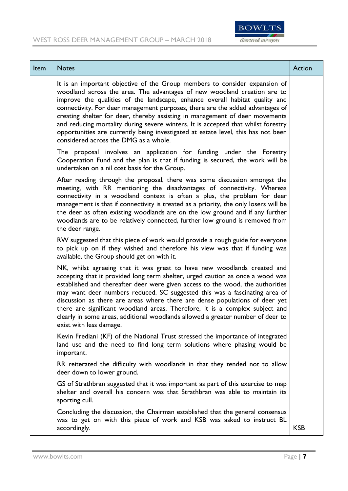

| Item | <b>Notes</b>                                                                                                                                                                                                                                                                                                                                                                                                                                                                                                                                                                                                              | Action     |
|------|---------------------------------------------------------------------------------------------------------------------------------------------------------------------------------------------------------------------------------------------------------------------------------------------------------------------------------------------------------------------------------------------------------------------------------------------------------------------------------------------------------------------------------------------------------------------------------------------------------------------------|------------|
|      | It is an important objective of the Group members to consider expansion of<br>woodland across the area. The advantages of new woodland creation are to<br>improve the qualities of the landscape, enhance overall habitat quality and<br>connectivity. For deer management purposes, there are the added advantages of<br>creating shelter for deer, thereby assisting in management of deer movements<br>and reducing mortality during severe winters. It is accepted that whilst forestry<br>opportunities are currently being investigated at estate level, this has not been<br>considered across the DMG as a whole. |            |
|      | The proposal involves an application for funding under the Forestry<br>Cooperation Fund and the plan is that if funding is secured, the work will be<br>undertaken on a nil cost basis for the Group.                                                                                                                                                                                                                                                                                                                                                                                                                     |            |
|      | After reading through the proposal, there was some discussion amongst the<br>meeting, with RR mentioning the disadvantages of connectivity. Whereas<br>connectivity in a woodland context is often a plus, the problem for deer<br>management is that if connectivity is treated as a priority, the only losers will be<br>the deer as often existing woodlands are on the low ground and if any further<br>woodlands are to be relatively connected, further low ground is removed from<br>the deer range.                                                                                                               |            |
|      | RW suggested that this piece of work would provide a rough guide for everyone<br>to pick up on if they wished and therefore his view was that if funding was<br>available, the Group should get on with it.                                                                                                                                                                                                                                                                                                                                                                                                               |            |
|      | NK, whilst agreeing that it was great to have new woodlands created and<br>accepting that it provided long term shelter, urged caution as once a wood was<br>established and thereafter deer were given access to the wood, the authorities<br>may want deer numbers reduced. SC suggested this was a fascinating area of<br>discussion as there are areas where there are dense populations of deer yet<br>there are significant woodland areas. Therefore, it is a complex subject and<br>clearly in some areas, additional woodlands allowed a greater number of deer to<br>exist with less damage.                    |            |
|      | Kevin Frediani (KF) of the National Trust stressed the importance of integrated<br>land use and the need to find long term solutions where phasing would be<br>important.                                                                                                                                                                                                                                                                                                                                                                                                                                                 |            |
|      | RR reiterated the difficulty with woodlands in that they tended not to allow<br>deer down to lower ground.                                                                                                                                                                                                                                                                                                                                                                                                                                                                                                                |            |
|      | GS of Strathbran suggested that it was important as part of this exercise to map<br>shelter and overall his concern was that Strathbran was able to maintain its<br>sporting cull.                                                                                                                                                                                                                                                                                                                                                                                                                                        |            |
|      | Concluding the discussion, the Chairman established that the general consensus<br>was to get on with this piece of work and KSB was asked to instruct BL<br>accordingly.                                                                                                                                                                                                                                                                                                                                                                                                                                                  | <b>KSB</b> |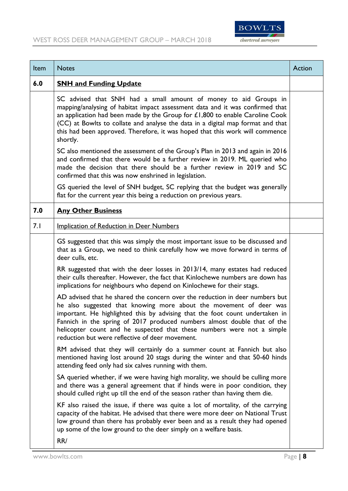



| Item | <b>Notes</b>                                                                                                                                                                                                                                                                                                                                                                                                                                | Action |
|------|---------------------------------------------------------------------------------------------------------------------------------------------------------------------------------------------------------------------------------------------------------------------------------------------------------------------------------------------------------------------------------------------------------------------------------------------|--------|
| 6.0  | <b>SNH and Funding Update</b>                                                                                                                                                                                                                                                                                                                                                                                                               |        |
|      | SC advised that SNH had a small amount of money to aid Groups in<br>mapping/analysing of habitat impact assessment data and it was confirmed that<br>an application had been made by the Group for $£1,800$ to enable Caroline Cook<br>(CC) at Bowlts to collate and analyse the data in a digital map format and that<br>this had been approved. Therefore, it was hoped that this work will commence<br>shortly.                          |        |
|      | SC also mentioned the assessment of the Group's Plan in 2013 and again in 2016<br>and confirmed that there would be a further review in 2019. ML queried who<br>made the decision that there should be a further review in 2019 and SC<br>confirmed that this was now enshrined in legislation.                                                                                                                                             |        |
|      | GS queried the level of SNH budget, SC replying that the budget was generally<br>flat for the current year this being a reduction on previous years.                                                                                                                                                                                                                                                                                        |        |
| 7.0  | <b>Any Other Business</b>                                                                                                                                                                                                                                                                                                                                                                                                                   |        |
| 7.1  | <b>Implication of Reduction in Deer Numbers</b>                                                                                                                                                                                                                                                                                                                                                                                             |        |
|      | GS suggested that this was simply the most important issue to be discussed and<br>that as a Group, we need to think carefully how we move forward in terms of<br>deer culls, etc.                                                                                                                                                                                                                                                           |        |
|      | RR suggested that with the deer losses in 2013/14, many estates had reduced<br>their culls thereafter. However, the fact that Kinlochewe numbers are down has<br>implications for neighbours who depend on Kinlochewe for their stags.                                                                                                                                                                                                      |        |
|      | AD advised that he shared the concern over the reduction in deer numbers but<br>he also suggested that knowing more about the movement of deer was<br>important. He highlighted this by advising that the foot count undertaken in<br>Fannich in the spring of 2017 produced numbers almost double that of the<br>helicopter count and he suspected that these numbers were not a simple<br>reduction but were reflective of deer movement. |        |
|      | RM advised that they will certainly do a summer count at Fannich but also<br>mentioned having lost around 20 stags during the winter and that 50-60 hinds<br>attending feed only had six calves running with them.                                                                                                                                                                                                                          |        |
|      | SA queried whether, if we were having high morality, we should be culling more<br>and there was a general agreement that if hinds were in poor condition, they<br>should culled right up till the end of the season rather than having them die.                                                                                                                                                                                            |        |
|      | KF also raised the issue, if there was quite a lot of mortality, of the carrying<br>capacity of the habitat. He advised that there were more deer on National Trust<br>low ground than there has probably ever been and as a result they had opened<br>up some of the low ground to the deer simply on a welfare basis.<br>RR/                                                                                                              |        |